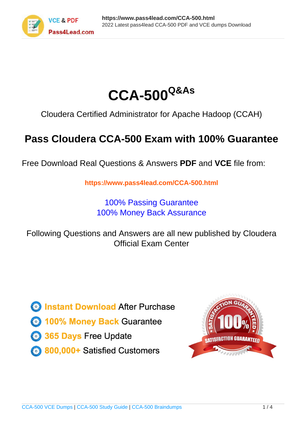



Cloudera Certified Administrator for Apache Hadoop (CCAH)

# **Pass Cloudera CCA-500 Exam with 100% Guarantee**

Free Download Real Questions & Answers **PDF** and **VCE** file from:

**https://www.pass4lead.com/CCA-500.html**

100% Passing Guarantee 100% Money Back Assurance

Following Questions and Answers are all new published by Cloudera Official Exam Center

**C** Instant Download After Purchase

**83 100% Money Back Guarantee** 

- 365 Days Free Update
- 800,000+ Satisfied Customers

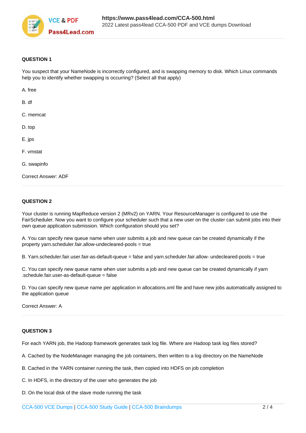

### **QUESTION 1**

You suspect that your NameNode is incorrectly configured, and is swapping memory to disk. Which Linux commands help you to identify whether swapping is occurring? (Select all that apply)

| A. free                    |  |
|----------------------------|--|
| B. df                      |  |
| C. memcat                  |  |
| D. top                     |  |
| E. jps                     |  |
| F. vmstat                  |  |
| G. swapinfo                |  |
| <b>Correct Answer: ADF</b> |  |

### **QUESTION 2**

Your cluster is running MapReduce version 2 (MRv2) on YARN. Your ResourceManager is configured to use the FairScheduler. Now you want to configure your scheduler such that a new user on the cluster can submit jobs into their own queue application submission. Which configuration should you set?

A. You can specify new queue name when user submits a job and new queue can be created dynamically if the property yarn.scheduler.fair.allow-undecleared-pools = true

B. Yarn.scheduler.fair.user.fair-as-default-queue = false and yarn.scheduler.fair.allow- undecleared-pools = true

C. You can specify new queue name when user submits a job and new queue can be created dynamically if yarn .schedule.fair.user-as-default-queue = false

D. You can specify new queue name per application in allocations.xml file and have new jobs automatically assigned to the application queue

Correct Answer: A

### **QUESTION 3**

For each YARN job, the Hadoop framework generates task log file. Where are Hadoop task log files stored?

A. Cached by the NodeManager managing the job containers, then written to a log directory on the NameNode

- B. Cached in the YARN container running the task, then copied into HDFS on job completion
- C. In HDFS, in the directory of the user who generates the job
- D. On the local disk of the slave mode running the task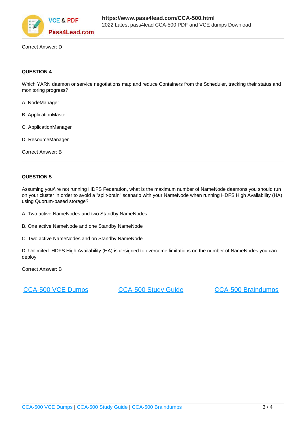

Correct Answer: D

### **QUESTION 4**

Which YARN daemon or service negotiations map and reduce Containers from the Scheduler, tracking their status and monitoring progress?

- A. NodeManager
- B. ApplicationMaster
- C. ApplicationManager
- D. ResourceManager

Correct Answer: B

### **QUESTION 5**

Assuming you\\'re not running HDFS Federation, what is the maximum number of NameNode daemons you should run on your cluster in order to avoid a "split-brain" scenario with your NameNode when running HDFS High Availability (HA) using Quorum-based storage?

A. Two active NameNodes and two Standby NameNodes

- B. One active NameNode and one Standby NameNode
- C. Two active NameNodes and on Standby NameNode

D. Unlimited. HDFS High Availability (HA) is designed to overcome limitations on the number of NameNodes you can deploy

Correct Answer: B

[CCA-500 VCE Dumps](https://www.pass4lead.com/CCA-500.html) [CCA-500 Study Guide](https://www.pass4lead.com/CCA-500.html) [CCA-500 Braindumps](https://www.pass4lead.com/CCA-500.html)